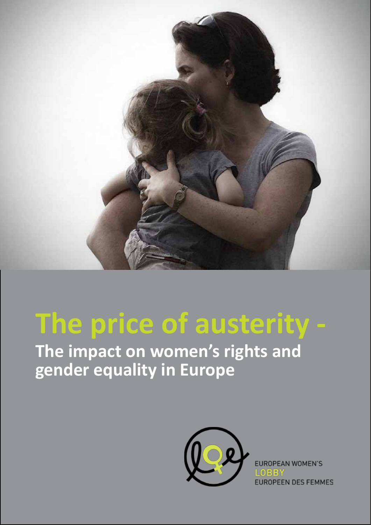

## **The price of austerity -**

**The impact on women's rights and gender equality in Europe**



EUROPEAN WOMEN'S **EUROPEEN DES FEMMES**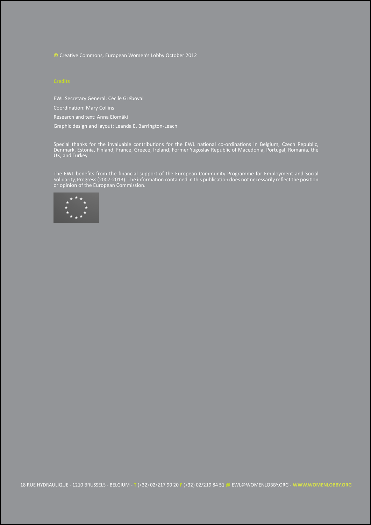**©** Creative Commons, European Women's Lobby October 2012

EWL Secretary General: Cécile Gréboval

Coordination: Mary Collins

Research and text: Anna Elomäki

Graphic design and layout: Leanda E. Barrington-Leach

Special thanks for the invaluable contributions for the EWL national co-ordinations in Belgium, Czech Republic, Denmark, Estonia, Finland, France, Greece, Ireland, Former Yugoslav Republic of Macedonia, Portugal, Romania, the UK, and Turkey

The EWL benefits from the financial support of the European Community Programme for Employment and Social Solidarity, Progress (2007-2013). The information contained in this publication does not necessarily reflect the position or opinion of the European Commission.

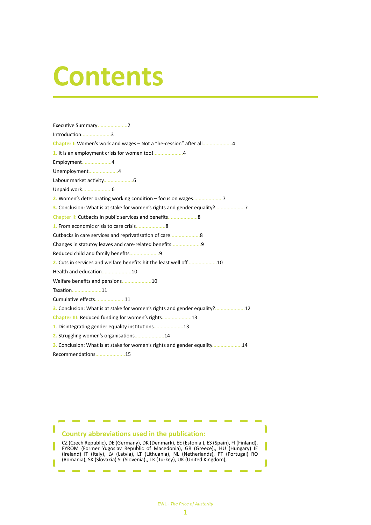# **Contents**

| Introduction3                                                             |
|---------------------------------------------------------------------------|
| Chapter I: Women's work and wages - Not a "he-cession" after all4         |
|                                                                           |
| Employment4                                                               |
| Unemployment4                                                             |
|                                                                           |
|                                                                           |
|                                                                           |
| 3. Conclusion: What is at stake for women's rights and gender equality?7  |
| Chapter II: Cutbacks in public services and benefits 8                    |
|                                                                           |
| Cutbacks in care services and reprivatisation of care8                    |
| Changes in statutoy leaves and care-related benefits9                     |
|                                                                           |
| 2. Cuts in services and welfare benefits hit the least well off10         |
| Health and education10                                                    |
|                                                                           |
| Taxation11                                                                |
| Cumulative effects11                                                      |
| 3. Conclusion: What is at stake for women's rights and gender equality?12 |
| Chapter III: Reduced funding for women's rights13                         |
| 1. Disintegrating gender equality institutions13                          |
| 2. Struggling women's organisations14                                     |
| 3. Conclusion: What is at stake for women's rights and gender equality14  |
| Recommendations15                                                         |

### **Country abbreviations used in the publication:**

ı

CZ (Czech Republic), DE (Germany), DK (Denmark), EE (Estonia ), ES (Spain), FI (Finland), FYROM (Former Yugoslav Republic of Macedonia), GR (Greece),, HU (Hungary) IE (Ireland) IT (Italy), LV (Latvia), LT (Lithuania), NL (Netherlands), PT (Portugal) RO (Romania), SK (Slovakia) SI (Slovenia),, TK (Turkey), UK (United Kingdom),

1

J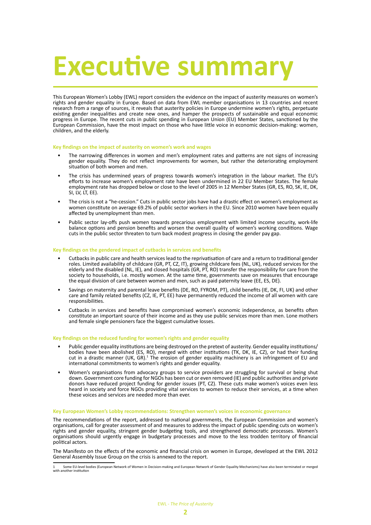# **Executive summar**

This European Women's Lobby (EWL) report considers the evidence on the impact of austerity measures on women's rights and gender equality in Europe. Based on data from EWL member organisations in 13 countries and recent research from a range of sources, it reveals that austerity policies in Europe undermine women's rights, perpetuate existing gender inequalities and create new ones, and hamper the prospects of sustainable and equal economic progress in Europe. The recent cuts in public spending in European Union (EU) Member States, sanctioned by the European Commission, have the most impact on those who have little voice in economic decision-making: women, children, and the elderly.

#### **Key findings on the impact of austerity on women's work and wages**

- The narrowing differences in women and men's employment rates and patterns are not signs of increasing gender equality. They do not reflect improvements for women, but rather the deteriorating employment situation of both women and men.
- The crisis has undermined years of progress towards women's integration in the labour market. The EU's efforts to increase women's employment rate have been undermined in 22 EU Member States. The female employment rate has dropped below or close to the level of 2005 in 12 Member States (GR, ES, RO, SK, IE, DK, SI, LV, LT, EE).
- The crisis is not a "he-cession." Cuts in public sector jobs have had a drastic effect on women's employment as women constitute on average 69.2% of public sector workers in the EU. Since 2010 women have been equally affected by unemployment than men.
- Public sector lay-offs push women towards precarious employment with limited income security, work-life balance options and pension benefits and worsen the overall quality of women's working conditions. Wage cuts in the public sector threaten to turn back modest progress in closing the gender pay gap.

#### **Key findings on the gendered impact of cutbacks in services and benefits**

- Cutbacks in public care and health services lead to the reprivatisation of care and a return to traditional gender roles. Limited availability of childcare (GR, PT, CZ, IT), growing childcare fees (NL, UK), reduced services for the elderly and the disabled (NL, IE), and closed hospitals (GR, PT, RO) transfer the responsibility for care from the society to households, i.e. mostly women. At the same time, governments save on measures that encourage the equal division of care between women and men, such as paid paternity leave (EE, ES, DE).
- Savings on maternity and parental leave benefits (DE, RO, FYROM, PT), child benefits (IE, DK, FI, UK) and other care and family related benefits (CZ, IE, PT, EE) have permanently reduced the income of all women with care responsibilities.
- Cutbacks in services and benefits have compromised women's economic independence, as benefits often constitute an important source of their income and as they use public services more than men. Lone mothers and female single pensioners face the biggest cumulative losses.

#### **Key findings on the reduced funding for women's rights and gender equality**

- Public gender equality institutions are being destroyed on the pretext of austerity. Gender equality institutions/ bodies have been abolished (ES, RO), merged with other institutions (TK, DK, IE, CZ), or had their funding cut in a drastic manner (UK, GR).<sup>1</sup> The erosion of gender equality machinery is an infringement of EU and international commitments to women's rights and gender equality.
- Women's organisations from advocacy groups to service providers are struggling for survival or being shut down. Government core funding for NGOs has been cut or even removed (IE) and public authorities and private donors have reduced project funding for gender issues (PT, CZ). These cuts make women's voices even less heard in society and force NGOs providing vital services to women to reduce their services, at a time when these voices and services are needed more than ever.

#### **Key European Women's Lobby recommendations: Strengthen women's voices in economic governance**

The recommendations of the report, addressed to national governments, the European Commission and women's organisations, call for greater assessment of and measures to address the impact of public spending cuts on women's rights and gender equality, stringent gender budgeting tools, and strengthened democratic processes. Women's organisations should urgently engage in budgetary processes and move to the less trodden territory of financial political actors.

The Manifesto on the effects of the economic and financial crisis on women in Europe, developed at the EWL 2012 General Assembly Issue Group on the crisis is annexed to the report.

<sup>1</sup> Some EU-level bodies (European Network of Women in Decision-making and European Network of Gender Equality Mechanisms) have also been terminated or merged with another institution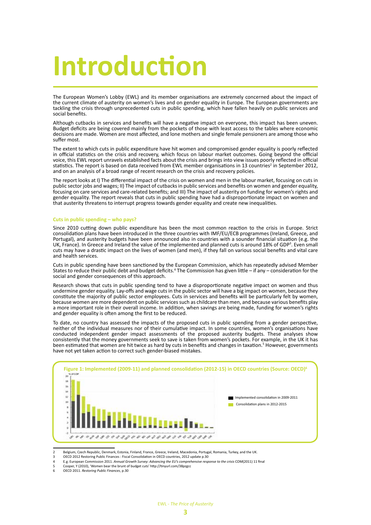# **Introduction**

The European Women's Lobby (EWL) and its member organisations are extremely concerned about the impact of the current climate of austerity on women's lives and on gender equality in Europe. The European governments are tackling the crisis through unprecedented cuts in public spending, which have fallen heavily on public services and social benefits.

Although cutbacks in services and benefits will have a negative impact on everyone, this impact has been uneven. Budget deficits are being covered mainly from the pockets of those with least access to the tables where economic decisions are made. Women are most affected, and lone mothers and single female pensioners are among those who suffer most.

The extent to which cuts in public expenditure have hit women and compromised gender equality is poorly reflected in official statistics on the crisis and recovery, which focus on labour market outcomes. Going beyond the official voice, this EWL report unravels established facts about the crisis and brings into view issues poorly reflected in official statistics. The report is based on data received from EWL member organisations in 13 countries<sup>2</sup> in September 2012, and on an analysis of a broad range of recent research on the crisis and recovery policies.

The report looks at I) The differential impact of the crisis on women and men in the labour market, focusing on cuts in public sector jobs and wages; II) The impact of cutbacks in public services and benefits on women and gender equality, focusing on care services and care-related benefits; and III) The impact of austerity on funding for women's rights and gender equality. The report reveals that cuts in public spending have had a disproportionate impact on women and that austerity threatens to interrupt progress towards gender equality and create new inequalities.

#### **Cuts in public spending – who pays?**

Since 2010 cutting down public expenditure has been the most common reaction to the crisis in Europe. Strict consolidation plans have been introduced in the three countries with IMF/EU/ECB programmes (Ireland, Greece, and Portugal), and austerity budgets have been announced also in countries with a sounder financial situation (e.g. the UK, France). In Greece and Ireland the value of the implemented and planned cuts is around 18% of GDP<sup>3</sup>. Even small cuts may have a drastic impact on the lives of women (and men), if they fall on various social benefits and vital care and health services.

Cuts in public spending have been sanctioned by the European Commission, which has repeatedly advised Member States to reduce their public debt and budget deficits.<sup>4</sup> The Commission has given little – if any – consideration for the social and gender consequences of this approach.

Research shows that cuts in public spending tend to have a disproportionate negative impact on women and thus undermine gender equality. Lay-offs and wage cuts in the public sector will have a big impact on women, because they constitute the majority of public sector employees. Cuts in services and benefits will be particularly felt by women, because women are more dependent on public services such as childcare than men, and because various benefits play a more important role in their overall income. In addition, when savings are being made, funding for women's rights and gender equality is often among the first to be reduced.

To date, no country has assessed the impacts of the proposed cuts in public spending from a gender perspective, neither of the individual measures nor of their cumulative impact. In some countries, women's organisations have conducted independent gender impact assessments of the proposed austerity budgets. These analyses show consistently that the money governments seek to save is taken from women's pockets. For example, in the UK it has been estimated that women are hit twice as hard by cuts in benefits and changes in taxation.<sup>5</sup> However, governments have not yet taken action to correct such gender-biased mistakes.



<sup>2</sup> Belgium, Czech Republic, Denmark, Estonia, Finland, France, Greece, Ireland, Macedonia, Portugal, Romania, Turkey, and the UK.

- 5 Cooper, Y (2010), 'Women bear the brunt of budget cuts' http://tinyurl.com/38pzgcc
- 6 OECD 2011. *Restoring Public Finances*, p.30

OECD 2012 Restoring Public Finances : Fiscal Consolidation in OECD countries, 2012 update p.30

<sup>4</sup> E.g. European Commission 2011. *Annual Growth Survey: Advancing the EU's comprehensive response to the crisis* COM(2011) 11 final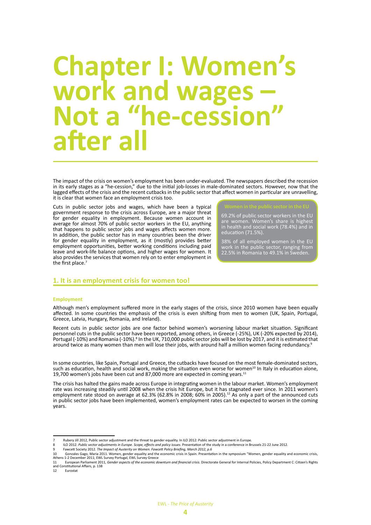### **Chapter I: Women's work and wages – Not a "he-cession" after all**

The impact of the crisis on women's employment has been under-evaluated. The newspapers described the recession in its early stages as a "he-cession," due to the initial job-losses in male-dominated sectors. However, now that the lagged effects of the crisis and the recent cutbacks in the public sector that affect women in particular are unravelling, it is clear that women face an employment crisis too.

Cuts in public sector jobs and wages, which have been a typical government response to the crisis across Europe, are a major threat for gender equality in employment. Because women account in average for almost 70% of public sector workers in the EU, anything that happens to public sector jobs and wages affects women more. In addition, the public sector has in many countries been the driver for gender equality in employment, as it (mostly) provides better employment opportunities, better working conditions including paid leave and work-life balance options, and higher wages for women. It also provides the services that women rely on to enter employment in the first place.<sup>7</sup>

69.2% of public sector workers in the EU are women. Women's share is highest in health and social work (78.4%) and in education (71.5%).

38% of all employed women in the EU work in the public sector, ranging from 22.5% in Romania to 49.1% in Sweden.

#### **1. It is an employment crisis for women too!**

#### **Employment**

Although men's employment suffered more in the early stages of the crisis, since 2010 women have been equally affected. In some countries the emphasis of the crisis is even shifting from men to women (UK, Spain, Portugal, Greece, Latvia, Hungary, Romania, and Ireland).

Recent cuts in public sector jobs are one factor behind women's worsening labour market situation. Significant personnel cuts in the public sector have been reported, among others, in Greece (-25%), UK (-20% expected by 2014), Portugal (-10%) and Romania (-10%).<sup>8</sup> In the UK, 710,000 public sector jobs will be lost by 2017, and it is estimated that around twice as many women than men will lose their jobs, with around half a million women facing redundancy.<sup>9</sup>

In some countries, like Spain, Portugal and Greece, the cutbacks have focused on the most female-dominated sectors, such as education, health and social work, making the situation even worse for women<sup>10</sup> In Italy in education alone, 19,700 women's jobs have been cut and 87,000 more are expected in coming years.11

The crisis has halted the gains made across Europe in integrating women in the labour market. Women's employment rate was increasing steadily until 2008 when the crisis hit Europe, but it has stagnated ever since. In 2011 women's employment rate stood on average at 62.3% (62.8% in 2008; 60% in 2005).<sup>12</sup> As only a part of the announced cuts in public sector jobs have been implemented, women's employment rates can be expected to worsen in the coming years.

9 Fawcett Society 2012. *The Impact of Austerity on Women. Fawcett Policy Briefing, March 2012, p.6*

<sup>7</sup> Rubery Jill 2012, Public sector adjustment and the threat to gender equality. In ILO 2012: Public sector adjustment in Europe.<br>ILO 2012. Public sector adjustments in Europe. Scope. effects and policy issues. Presentation

<sup>8</sup> ILO 2012. *Public sector adjustments in Europe. Scope, effects and policy issues*. Presentation of the study in a conference in Brussels 21-22 June 2012.

<sup>10</sup> Gonzales Gago, Maria 2011. Women, gender equality and the economic crisis in Spain. Presentation in the symposium "Women, gender equality and economic crisis,<br>Athens 1-2 December 2011; EWL Survey Portugal, EWL Survey Gr 11 European Parliament 2011, *Gender aspects of the economic downturn and financial crisis*. Directorate General for Internal Policies, Policy Department C: Citizen's Rights

and Constitutional Affairs, p. 138 **Eurostat**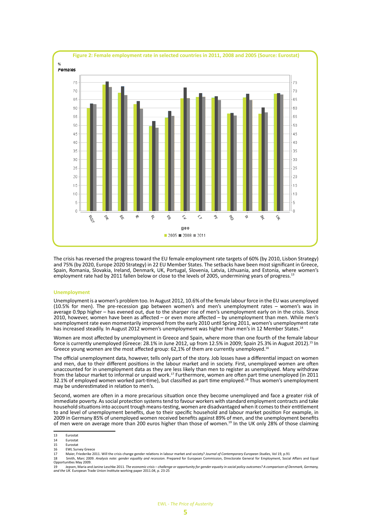

The crisis has reversed the progress toward the EU female employment rate targets of 60% (by 2010, Lisbon Strategy) and 75% (by 2020, Europe 2020 Strategy) in 22 EU Member States. The setbacks have been most significant in Greece, Spain, Romania, Slovakia, Ireland, Denmark, UK, Portugal, Slovenia, Latvia, Lithuania, and Estonia, where women's employment rate had by 2011 fallen below or close to the levels of 2005, undermining years of progress.<sup>1</sup>

#### **Unemployment**

Unemployment is a women's problem too. In August 2012, 10.6% of the female labour force in the EU was unemployed (10.5% for men). The pre-recession gap between women's and men's unemployment rates – women's was in average 0.9pp higher – has evened out, due to the sharper rise of men's unemployment early on in the crisis. Since 2010, however, women have been as affected – or even more affected – by unemployment than men. While men's unemployment rate even momentarily improved from the early 2010 until Spring 2011, women's unemployment rate has increased steadily. In August 2012 women's unemployment was higher than men's in 12 Member States.<sup>1</sup>

Women are most affected by unemployment in Greece and Spain, where more than one fourth of the female labour force is currently unemployed (Greece: 28.1% in June 2012, up from 12.5% in 2009; Spain 25.3% in August 2012).15 In Greece young women are the most affected group: 62,1% of them are currently unemployed.<sup>16</sup>

The official unemployment data, however, tells only part of the story. Job losses have a differential impact on women and men, due to their different positions in the labour market and in society. First, unemployed women are often unaccounted for in unemployment data as they are less likely than men to register as unemployed. Many withdraw from the labour market to informal or unpaid work.17 Furthermore, women are often part time unemployed (in 2011 32.1% of employed women worked part-time), but classified as part time employed.<sup>18</sup> Thus women's unemployment may be underestimated in relation to men's.

Second, women are often in a more precarious situation once they become unemployed and face a greater risk of immediate poverty. As social protection systems tend to favour workers with standard employment contracts and take household situations into account trough means-testing, women are disadvantaged when it comes to their entitlement to and level of unemployment benefits, due to their specific household and labour market position. For example, in 2009 in Germany 85% of unemployed women received benefits against 89% of men, and the unemployment benefits of men were on average more than 200 euros higher than those of women.19 In the UK only 28% of those claiming

16 FWL Survey Greece

<sup>13</sup> Eurostat<br>14 Eurostat

<sup>14</sup> Eurostat<br>15 Eurostat 15 Eurostat

<sup>17</sup> Maier, Friederike 2011. Will the crisis change gender relations in labour market and society? *Journal of Contemporary European Studies*, Vol 19, p.91

<sup>18</sup> Smith, Marc 2009. *Analysis note: gender equality and recession*. Prepared for European Commission, Directorate General for Employment, Social Affairs and Equal Opportunities May 2009.

Procurristion in the Section Marine Leschke 2011. The economic crisis – challenge or opportunity for gender equally in social policy outcomes? A comparison of Denmark, Germany,<br>and the UK. European Trade Union Institute wo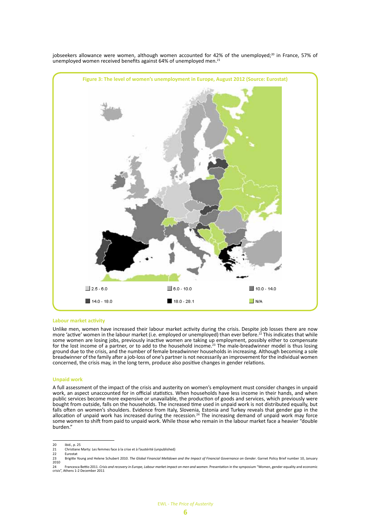

jobseekers allowance were women, although women accounted for 42% of the unemployed; $^{20}$  in France, 57% of unemployed women received benefits against 64% of unemployed men.<sup>21</sup>

#### **Labour market activity**

Unlike men, women have increased their labour market activity during the crisis. Despite job losses there are now more 'active' women in the labour market (i.e. employed or unemployed) than ever before.<sup>22</sup> This indicates that while some women are losing jobs, previously inactive women are taking up employment, possibly either to compensate for the lost income of a partner, or to add to the household income.<sup>23</sup> The male-breadwinner model is thus losing ground due to the crisis, and the number of female breadwinner households in increasing. Although becoming a sole breadwinner of the family after a job-loss of one's partner is not necessarily an improvement for the individual women concerned, the crisis may, in the long term, produce also positive changes in gender relations.

#### **Unpaid work**

A full assessment of the impact of the crisis and austerity on women's employment must consider changes in unpaid work, an aspect unaccounted for in official statistics. When households have less income in their hands, and when public services become more expensive or unavailable, the production of goods and services, which previously were bought from outside, falls on the households. The increased time used in unpaid work is not distributed equally, but falls often on women's shoulders. Evidence from Italy, Slovenia, Estonia and Turkey reveals that gender gap in the allocation of unpaid work has increased during the recession.<sup>24</sup> The increasing demand of unpaid work may force some women to shift from paid to unpaid work. While those who remain in the labour market face a heavier "double burden."

<sup>20</sup> ibid., p. 25<br>21 Christiane

<sup>21</sup> Christiane Marty: Les femmes face à la crise et à l'austérité (unpublished)

<sup>22</sup> **Eurostat** 

<sup>23</sup> Brigitte Young and Helene Schubert 2010. *The Global Financial Meltdown and the Impact of Financial Governance on Gender*. Garnet Policy Brief number 10, January 2010

<sup>24</sup> Francesca Bettio 2011. *Crisis and recovery in Europe, Labour market impact on men and women*. Presentation in the symposium "Women, gender equality and economic crisis", Athens 1-2 December 2011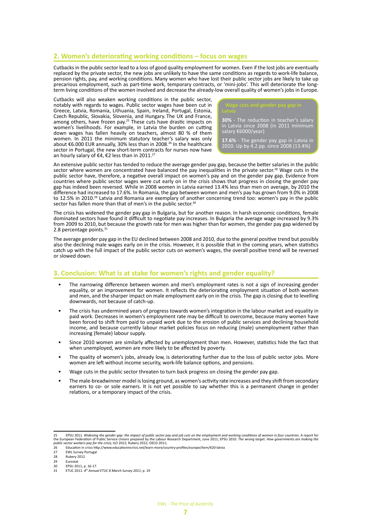#### **2. Women's deteriorating working conditions – focus on wages**

Cutbacks in the public sector lead to a loss of good quality employment for women. Even if the lost jobs are eventually replaced by the private sector, the new jobs are unlikely to have the same conditions as regards to work-life balance, pension rights, pay, and working conditions. Many women who have lost their public sector jobs are likely to take up precarious employment, such as part-time work, temporary contracts, or 'mini-jobs'. This will deteriorate the longterm living conditions of the women involved and decrease the already-low overall quality of women's jobs in Europe.

Cutbacks will also weaken working conditions in the public sector, notably with regards to wages. Public sector wages have been cut in Greece, Latvia, Romania, Lithuania, Spain, Ireland, Portugal, Estonia, Czech Republic, Slovakia, Slovenia, and Hungary. The UK and France, among others, have frozen pay.<sup>25</sup> These cuts have drastic impacts on women's livelihoods. For example, in Latvia the burden on cutting down wages has fallen heavily on teachers, almost 80 % of them women. In 2011 the minimum statutory teacher's salary was only about €6.000 EUR annually, 30% less than in 2008.26 In the healthcare sector in Portugal, the new short-term contracts for nurses now have an hourly salary of €4, €2 less than in 2011.<sup>27</sup>

**30%** - The reduction in teacher's salary in Latvia since 2008 (in 2011 minimum salary €6000/year)

**17.6%** - The gender pay gap in Latvia in 2010. Up by 4.2 pp. since 2008 (13.4%)

An extensive public sector has tended to reduce the average gender pay gap, because the better salaries in the public sector where women are concentrated have balanced the pay inequalities in the private sector.28 Wage cuts in the public sector have, therefore, a negative overall impact on women's pay and on the gender pay gap. Evidence from countries where public sector wages were cut early on in the crisis shows that progress in closing the gender pay gap has indeed been reversed. While in 2008 women in Latvia earned 13.4% less than men on average, by 2010 the difference had increased to 17.6%. In Romania, the gap between women and men's pay has grown from 9.0% in 2008 to 12.5% in 2010.29 Latvia and Romania are exemplary of another concerning trend too: women's pay in the public sector has fallen more than that of men's in the public sector.<sup>30</sup>

The crisis has widened the gender pay gap in Bulgaria, but for another reason. In harsh economic conditions, female dominated sectors have found it difficult to negotiate pay increases. In Bulgaria the average wage increased by 9.3% from 2009 to 2010, but because the growth rate for men was higher than for women, the gender pay gap widened by 2.8 percentage points.<sup>31</sup>

The average gender pay gap in the EU declined between 2008 and 2010, due to the general positive trend but possibly also the declining male wages early on in the crisis. However, it is possible that in the coming years, when statistics catch up with the full impact of the public sector cuts on women's wages, the overall positive trend will be reversed or slowed down.

#### **3. Conclusion: What is at stake for women's rights and gender equality?**

- The narrowing difference between women and men's employment rates is not a sign of increasing gender equality, or an improvement for women. It reflects the deteriorating employment situation of both women and men, and the sharper impact on male employment early on in the crisis. The gap is closing due to levelling downwards, not because of catch-up.
- The crisis has undermined years of progress towards women's integration in the labour market and equality in paid work. Decreases in women's employment rate may be difficult to overcome, because many women have been forced to shift from paid to unpaid work due to the erosion of public services and declining household income, and because currently labour market policies focus on reducing (male) unemployment rather than increasing (female) labour supply.
- Since 2010 women are similarly affected by unemployment than men. However, statistics hide the fact that when unemployed, women are more likely to be affected by poverty.
- The quality of women's jobs, already low, is deteriorating further due to the loss of public sector jobs. More women are left without income security, work-life balance options, and pensions.
- Wage cuts in the public sector threaten to turn back progress on closing the gender pay gap.
- The male-breadwinner model is losing ground, as women's activity rate increases and they shift from secondary earners to co- or sole earners. It is not yet possible to say whether this is a permanent change in gender relations, or a temporary impact of the crisis.

<sup>25</sup> EPSU 2011. Widening the gender gap: the impact of public sector pay and job cuts on the employment and working conditions of women in four countries. A report for<br>the European Federation of Public Service Unions p

<sup>26</sup> Education in crisis http://www.educationincrisis.net/learn-more/country-profiles/europe/item/420-latvia

**EWL Survey Portugal** 

<sup>28</sup> Rubery 2012 29 Eurostat

<sup>30</sup> EPSU 2011, p. 16-17.<br>31 ETUC 2011. 4<sup>th</sup> Annuc

<sup>31</sup> ETUC 2011*. 4th Annual ETUC 8 March Survey 2011*, p. 19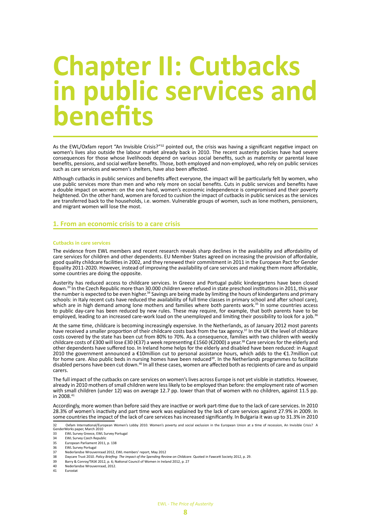### **Chapter II: Cutbacks in public services and benefits**

As the EWL/Oxfam report "An Invisible Crisis?"<sup>32</sup> pointed out, the crisis was having a significant negative impact on women's lives also outside the labour market already back in 2010. The recent austerity policies have had severe consequences for those whose livelihoods depend on various social benefits, such as maternity or parental leave benefits, pensions, and social welfare benefits. Those, both employed and non-employed, who rely on public services such as care services and women's shelters, have also been affected.

Although cutbacks in public services and benefits affect everyone, the impact will be particularly felt by women, who use public services more than men and who rely more on social benefits. Cuts in public services and benefits have a double impact on women: on the one hand, women's economic independence is compromised and their poverty heightened. On the other hand, women are forced to cushion the impact of cutbacks in public services as the services are transferred back to the households, i.e. women. Vulnerable groups of women, such as lone mothers, pensioners, and migrant women will lose the most.

#### **1. From an economic crisis to a care crisis**

#### **Cutbacks in care services**

The evidence from EWL members and recent research reveals sharp declines in the availability and affordability of care services for children and other dependents. EU Member States agreed on increasing the provision of affordable, good quality childcare facilities in 2002, and they renewed their commitment in 2011 in the European Pact for Gender Equality 2011-2020. However, instead of improving the availability of care services and making them more affordable, some countries are doing the opposite.

Austerity has reduced access to childcare services. In Greece and Portugal public kindergartens have been closed down.<sup>33</sup> In the Czech Republic more than 30.000 children were refused in state preschool institutions in 2011, this year the number is expected to be even higher.<sup>34</sup> Savings are being made by limiting the hours of kindergartens and primary schools: in Italy recent cuts have reduced the availability of full time classes in primary school and after school care), which are in high demand among lone mothers and families where both parents work.<sup>35</sup> In some countries access to public day-care has been reduced by new rules. These may require, for example, that both parents have to be employed, leading to an increased care-work load on the unemployed and limiting their possibility to look for a job.<sup>36</sup>

At the same time, childcare is becoming increasingly expensive. In the Netherlands, as of January 2012 most parents have received a smaller proportion of their childcare costs back from the tax agency.37 In the UK the level of childcare costs covered by the state has been cut from 80% to 70%. As a consequence, families with two children with weekly childcare costs of £300 will lose £30 (€37) a week representing £1560 (€2000) a year.38 Care services for the elderly and other dependents have suffered too. In Ireland home helps for the elderly and disabled have been reduced: in August 2010 the government announced a €10million cut to personal assistance hours, which adds to the €1.7million cut for home care. Also public beds in nursing homes have been reduced<sup>39</sup>. In the Netherlands programmes to facilitate disabled persons have been cut down.40 In all these cases, women are affected both as recipients of care and as unpaid carers.

The full impact of the cutbacks on care services on women's lives across Europe is not yet visible in statistics. However, already in 2010 mothers of small children were less likely to be employed than before: the employment rate of women with small children (under 12) was on average 12.7 pp. lower than that of women with no children, against 11.5 pp. in 2008.41

Accordingly, more women than before said they are inactive or work part-time due to the lack of care services. In 2010 28.3% of women's inactivity and part time work was explained by the lack of care services against 27.9% in 2009. In some countries the impact of the lack of care services has increased significantly. In Bulgaria it was up to 31.3% in 2010

32 Oxfam International/European Women's Lobby 2010. Women's poverty and social exclusion in the European Union at a time of recession, An Invisible Crisis? A GenderWorks paper, March 2010 33 EWL Survey Greece, EWL Survey Portugal

<sup>34</sup> EWL Survey Czech Republic<br>35 Furopean Parliament 2011.

<sup>35</sup> European Parliament 2011, p. 138<br>36 EUC Survey Portugal

<sup>36</sup> EWL Survey Portugal<br>37 Nederlandse Wrouver

<sup>37</sup> Nederlandse Wrouvenraad 2012, EWL members' report, May 2012<br>38 Davcare Trust 2010, Policy Briefing: The import of the Spending Rev

<sup>38</sup> Daycare Trust 2010. *Policy Briefing: The impact of the Spending Review on Childcare*. Quoted in Fawcett Society 2012, p. 29.

<sup>39</sup> Barry & Conroy/TASK 2012, p. 6; National Council of Women in Ireland 2012, p. 27

<sup>40</sup> Nederlandse Wrouvenraad, 2012.<br>41 Eurostat

**Eurostat**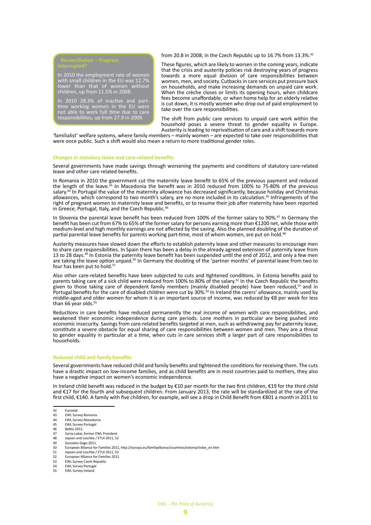In 2010 the employment rate of women with small children in the EU was 12.7% lower than that of women without children, up from 11.5% in 2008.

In 2010 28.3% of inactive and parttime working women in the EU were not able to work full time due to care responsibilities, up from 27.9 in 2009.

from 20.8 in 2008; in the Czech Republic up to 16.7% from 13.3%.42

These figures, which are likely to worsen in the coming years, indicate that the crisis and austerity policies risk destroying years of progress towards a more equal division of care responsibilities between women, men, and society. Cutbacks in care services put pressure back on households, and make increasing demands on unpaid care work. When the crèche closes or limits its opening hours, when childcare fees become unaffordable, or when home help for an elderly relative is cut down, it is mostly women who drop out of paid employment to take over the care responsibilities.

The shift from public care services to unpaid care work within the household poses a severe threat to gender equality in Europe. Austerity is leading to reprivatisation of care and a shift towards more

'familialist' welfare systems, where family members – mainly women – are expected to take over responsibilities that were once public. Such a shift would also mean a return to more traditional gender roles.

#### **Changes in statutory leave and care-related benefits**

Several governments have made savings through worsening the payments and conditions of statutory care-related leave and other care related benefits.

In Romania in 2010 the government cut the maternity leave benefit to 65% of the previous payment and reduced the length of the leave.<sup>43</sup> In Macedonia the benefit was in 2010 reduced from 100% to 75-80% of the previous salary.<sup>44</sup> In Portugal the value of the maternity allowance has decreased significantly, because holiday and Christmas allowances, which correspond to two month's salary, are no more included in its calculation.<sup>45</sup> Infringements of the right of pregnant women to maternity leave and benefits, or to resume their job after maternity have been reported in Greece, Portugal, Italy, and the Czech Republic.46

In Slovenia the parental leave benefit has been reduced from 100% of the former salary to 90%.<sup>47</sup> In Germany the benefit has been cut from 67% to 65% of the former salary for persons earning more than €1200 net, while those with medium-level and high monthly earnings are not affected by the saving. Also the planned doubling of the duration of partial parental leave benefits for parents working part-time, most of whom women, are put on hold.<sup>48</sup>

Austerity measures have slowed down the efforts to establish paternity leave and other measures to encourage men to share care responsibilities. In Spain there has been a delay in the already agreed extension of paternity leave from 13 to 28 days.<sup>49</sup> In Estonia the paternity leave benefit has been suspended until the end of 2012, and only a few men are taking the leave option unpaid.<sup>50</sup> In Germany the doubling of the 'partner months' of parental leave from two to four has been put to hold.<sup>51</sup>

Also other care-related benefits have been subjected to cuts and tightened conditions. In Estonia benefits paid to parents taking care of a sick child were reduced from 100% to 80% of the salary.<sup>52</sup> In the Czech Republic the benefits given to those taking care of dependent family members (mainly disabled people) have been reduced,<sup>53</sup> and in Portugal benefits for the care of disabled children were cut by 30%.54 In Ireland the carers' allowance, mainly used by middle-aged and older women for whom it is an important source of income, was reduced by €8 per week for less than 66 year olds.<sup>55</sup>

Reductions in care benefits have reduced permanently the real income of women with care responsibilities, and weakened their economic independence during care periods. Lone mothers in particular are being pushed into economic insecurity. Savings from care-related benefits targeted at men, such as withdrawing pay for paternity leave, constitute a severe obstacle for equal sharing of care responsibilities between women and men. They are a threat to gender equality in particular at a time, when cuts in care services shift a larger part of care responsibilities to households.

#### **Reduced child and family benefits**

Several governments have reduced child and family benefits and tightened the conditions for receiving them. The cuts have a drastic impact on low-income families, and as child benefits are in most countries paid to mothers, they also have a negative impact on women's economic independence.

In Ireland child benefit was reduced in the budget by €10 per month for the two first children, €19 for the third child and €17 for the fourth and subsequent children. From January 2013, the rate will be standardized at the rate of the first child, €140. A family with five children, for example, will see a drop in Child Benefit from €801 a month in 2011 to

- 42 Eurostat
- 43 EWL Survey Romania<br>44 EWL Survey Macedor EWL Survey Macedonia
- 45 EWL Survey Portugal
- 46 Bettio 2011.
- 47 Sonia Lokar, former EWL President<br>48 Jensen and Leschke / FTUL 2011 5
- 48 Jepsen and Leschke / ETUI 2011, 52<br>49 Gonzales Gago 2011.
- 49 Gonzales Gago 2011.<br>50 European Alliance for
- 50 European Alliance for Families 2011, http://europa.eu/familyalliance/countries/estonia/index\_en.htm<br>51 Lensen and Leschke / FTUI 2011, 52
- 51 Jepsen and Leschke / ETUI 2011, 52<br>52 Furopean Alliance for Families 2011
- 52 European Alliance for Families 2011<br>53 EWL Survey Czech Republic
- EWL Survey Czech Republic
- 54 EWL Survey Portugal<br>55 EWL Survey Ireland EWL Survey Ireland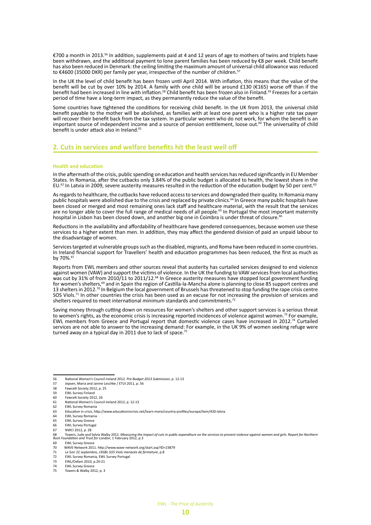€700 a month in 2013.56 In addition, supplements paid at 4 and 12 years of age to mothers of twins and triplets have been withdrawn, and the additional payment to lone parent families has been reduced by €8 per week. Child benefit has also been reduced in Denmark: the ceiling limiting the maximum amount of universal child allowance was reduced to €4600 (35000 DKR) per family per year, irrespective of the number of children.57

In the UK the level of child benefit has been frozen until April 2014. With inflation, this means that the value of the benefit will be cut by over 10% by 2014. A family with one child will be around £130 (€165) worse off than if the benefit had been increased in line with inflation.<sup>58</sup> Child benefit has been frozen also in Finland.<sup>59</sup> Freezes for a certain period of time have a long-term impact, as they permanently reduce the value of the benefit.

Some countries have tightened the conditions for receiving child benefit. In the UK from 2013, the universal child benefit payable to the mother will be abolished, as families with at least one parent who is a higher rate tax payer will recover their benefit back from the tax system. In particular women who do not work, for whom the benefit is an important source of independent income and a source of pension entitlement, loose out.<sup>60</sup> The universality of child benefit is under attack also in Ireland.<sup>61</sup>

### **2. Cuts in services and welfare benefits hit the least well off**

#### **Health and education**

In the aftermath of the crisis, public spending on education and health services has reduced significantly in EU Member States. In Romania, after the cutbacks only 3.84% of the public budget is allocated to health, the lowest share in the EU.<sup>62</sup> In Latvia in 2009, severe austerity measures resulted in the reduction of the education budget by 50 per cent.<sup>63</sup>

As regards to healthcare, the cutbacks have reduced access to services and downgraded their quality. In Romania many public hospitals were abolished due to the crisis and replaced by private clinics.<sup>64</sup> In Greece many public hospitals have been closed or merged and most remaining ones lack staff and healthcare material, with the result that the services are no longer able to cover the full range of medical needs of all people.<sup>65</sup> In Portugal the most important maternity hospital in Lisbon has been closed down, and another big one in Coimbra is under threat of closure.

Reductions in the availability and affordability of healthcare have gendered consequences, because women use these services to a higher extent than men. In addition, they may affect the gendered division of paid an unpaid labour to the disadvantage of women.

Services targeted at vulnerable groups such as the disabled, migrants, and Roma have been reduced in some countries. In Ireland financial support for Travellers' health and education programmes has been reduced, the first as much as by 70%.<sup>67</sup>

Reports from EWL members and other sources reveal that austerity has curtailed services designed to end violence against women (VAW) and support the victims of violence. In the UK the funding to VAW services from local authorities was cut by 31% of from 2010/11 to 2011/12.68 In Greece austerity measures have stopped local government funding for women's shelters,<sup>69</sup> and in Spain the region of Castilla-la-Mancha alone is planning to close 85 support centres and 13 shelters in 2012.<sup>70</sup> In Belgium the local government of Brussels has threatened to stop funding the rape crisis centre SOS Viols.<sup>71</sup> In other countries the crisis has been used as an excuse for not increasing the provision of services and shelters required to meet international minimum standards and commitments.<sup>7</sup>

Saving money through cutting down on resources for women's shelters and other support services is a serious threat to women's rights, as the economic crisis is increasing reported incidences of violence against women.<sup>73</sup> For example, EWL members from Greece and Portugal report that domestic violence cases have increased in 2012.74 Curtailed services are not able to answer to the increasing demand: For example, in the UK 9% of women seeking refuge were turned away on a typical day in 2011 due to lack of space.<sup>75</sup>

<sup>56</sup> National Women's Council Ireland 2012. *Pre-Budget 2013 Submission*, p. 12-13 57 Jepsen, Maria and Janine Leschke / ETUI 2011, p. 56

<sup>58</sup> Fawcett Society 2012, p. 25

<sup>59</sup> EWL Survey Finland<br>60 Fawcett Society 201

<sup>60</sup> Fawcett Society 2012, 26<br>61 National Women's Counc 61 National Women's Council Ireland 2012, p. 12-13

<sup>62</sup> EWL Survey Romania<br>63 Education in crisis, ht 63 Education in crisis, http://www.educationincrisis.net/learn-more/country-profiles/europe/item/420-latvia

<sup>64</sup> EWL Survey Romania

<sup>65</sup> EWL Survey Greece

<sup>66</sup> EWL Survey Portugal

<sup>67</sup> NWCI 2012, p. 28<br>68 Towers. Jude and 9

<sup>68</sup> Towers, Jude and Sylvia Walby 2012. *Measuring the impact of cuts in public expenditure on the services to prevent violence against women and girls*. R*eport for Northern Rock Foundation and Trust for London*, 1 February 2012, p.3

<sup>69</sup> EWL Survey Greece<br>70 WAVF-Network 2011

<sup>70</sup> WAVE-Network 2011. http://www.wave-network.org/start.asp?ID=23879<br>71 Le Soir 22 septembre. L'ASBL SOS Viols menacée de fermeture. p.8

<sup>71</sup> Le Soir 22 septembre, *L'ASBL SOS Viols menacée de fermeture*, p.8

<sup>72</sup> EWL Survey Romania, EWL Survey Portugal<br>73 EWL/Oxfam 2010, p.20-21 73 EWL/Oxfam 2010, p.20-21

<sup>74</sup> EWL Survey Greece

Towers & Walby 2012, p. 3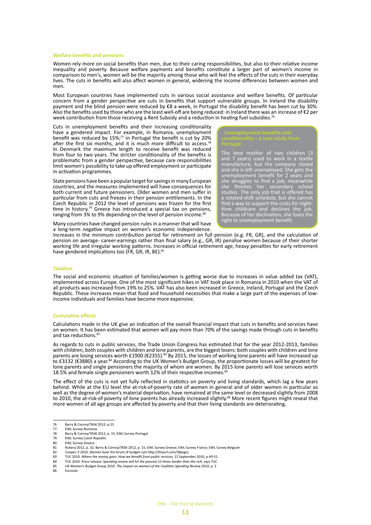#### **Welfare benefits and pensions**

Women rely more on social benefits than men, due to their caring responsibilities, but also to their relative income inequality and poverty. Because welfare payments and benefits constitute a larger part of women's income in comparison to men's, women will be the majority among those who will feel the effects of the cuts in their everyday lives. The cuts in benefits will also affect women in general, widening the income differences between women and men.

Most European countries have implemented cuts in various social assistance and welfare benefits. Of particular concern from a gender perspective are cuts in benefits that support vulnerable groups. In Ireland the disability payment and the blind pension were reduced by €8 a week, in Portugal the disability benefit has been cut by 30%. Also the benefits used by those who are the least well-off are being reduced: in Ireland there was an increase of €2 per week contribution from those receiving a Rent Subsidy and a reduction in heating fuel subsidies.<sup>76</sup>

Cuts in unemployment benefits and their increasing conditionality have a gendered impact. For example, in Romania, unemployment benefit was reduced by  $15\%;$ <sup>77</sup> in Portugal the benefit is cut by 20% after the first six months, and it is much more difficult to access.<sup>78</sup> In Denmark the maximum length to receive benefit was reduced from four to two years. The stricter conditionality of the benefits is problematic from a gender perspective, because care responsibilities limit women's possibility to take up offered employment or participate in activation programmes.

State pensions have been a popular target for savings in many European countries, and the measures implemented will have consequences for both current and future pensioners. Older women and men suffer in particular from cuts and freezes in their pension entitlements. In the Czech Republic in 2012 the level of pensions was frozen for the first time in history.<sup>79</sup> Greece has introduced a special tax on pensions, ranging from 3% to 9% depending on the level of pension income.<sup>80</sup>

Many countries have changed pension rules in a manner that will have a long-term negative impact on women's economic independence.

The lone mother of two children (3 and 7 years) used to work in a textile manufacture, but the company closed and she is left unemployed. She gets the unemployment benefit for 2 years and she struggles to find a job; meanwhile she finishes her secondary school studies. The only job that is offered has a rotated-shift schedule, but she cannot find a way to support the costs for nighttime childcare and declines the job. Because of her declination, she loses the right to unemployment benefit.

Increases in the minimum contribution period for retirement on full pension (e.g. FR, GR), and the calculation of pension on average- career-earnings rather than final salary (e.g., GR, IR) penalise women because of their shorter working life and irregular working patterns. Increases in official retirement age, heavy penalties for early retirement have gendered implications too (FR, GR, IR, BE).<sup>81</sup>

#### **Taxation**

The social and economic situation of families/women is getting worse due to increases in value added tax (VAT), implemented across Europe. One of the most significant hikes in VAT took place in Romania in 2010 when the VAT of all products was increased from 19% to 25%. VAT has also been increased in Greece, Ireland, Portugal and the Czech Republic. These increases mean that food and household necessities that make a large part of the expenses of lowincome individuals and families have become more expensive.

#### **Cumulative effects**

Calculations made in the UK give an indication of the overall financial impact that cuts in benefits and services have on women. It has been estimated that women will pay more than 70% of the savings made through cuts in benefits and tax reductions.<sup>82</sup>

As regards to cuts in public services, the Trade Union Congress has estimated that for the year 2012-2013, families with children, both couples with children and lone parents, are the biggest losers: both couples with children and lone parents are losing services worth £1900 (€2355).<sup>83</sup> By 2015, the losses of working lone parents will have increased up to £3132 (€3880) a year.<sup>84</sup> According to the UK Women's Budget Group, the proportionate losses will be greatest for lone parents and single pensioners the majority of whom are women. By 2015 lone parents will lose services worth 18.5% and female single pensioners worth 12% of their respective incomes.<sup>85</sup>

The effect of the cuts is not yet fully reflected in statistics on poverty and living standards, which lag a few years behind. While at the EU level the at-risk-of-poverty rate of women in general and of older women in particular as well as the degree of women's material deprivation, have remained at the same level or decreased slightly from 2008 to 2010, the at-risk-of-poverty of lone parents has already increased slightly.<sup>86</sup> More recent figures might reveal that more women of all age groups are affected by poverty and that their living standards are deteriorating.

82 Cooper, Y 2010, Women bear the brunt of budget cuts http://tinyurl.com/38pzgcc 83 TUC 2010. *Where the money goes: How we benefit from public services,* 12 September 2010, p.49-51.

<sup>76</sup> Barry & Conroy/TASK 2012, p.15

<sup>77</sup> EWL Survey Romania<br>78 Barry & Conroy/TASK

<sup>78</sup> Barry & Conroy/TASK 2012, p. 15; EWL Survey Portugal<br>79 EWL Survey Czech Republic

<sup>79</sup> EWL Survey Czech Republic<br>80 EWL Survey Greece

<sup>80</sup> EWL Survey Greece<br>81 Rubery 2012, p. 32:

<sup>81</sup> Rubery 2012, p. 32; Barry & Conroy/TASK 2012, p. 15; EWL Survey Greece; EWL Survey France; EWL Survey Belgium<br>82 Cooper. Y 2010. Women bear the brunt of budget cuts http://tinvurl.com/38pzecc

<sup>84</sup> TUC 2010. Press release: *Spending review will hit the poorest 15 times harder than the rich, says TUC* 85 UK Women's Budget Group 2010. *The impact on women of the Coalition Spending Review 2010*, p. 2

<sup>86</sup> Eurostat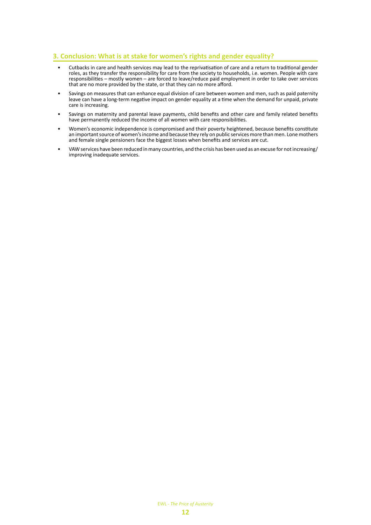### **3. Conclusion: What is at stake for women's rights and gender equality?**

- Cutbacks in care and health services may lead to the reprivatisation of care and a return to traditional gender roles, as they transfer the responsibility for care from the society to households, i.e. women. People with care responsibilities – mostly women – are forced to leave/reduce paid employment in order to take over services that are no more provided by the state, or that they can no more afford.
- Savings on measures that can enhance equal division of care between women and men, such as paid paternity leave can have a long-term negative impact on gender equality at a time when the demand for unpaid, private care is increasing.
- Savings on maternity and parental leave payments, child benefits and other care and family related benefits have permanently reduced the income of all women with care responsibilities.
- Women's economic independence is compromised and their poverty heightened, because benefits constitute an important source of women's income and because they rely on public services more than men. Lone mothers and female single pensioners face the biggest losses when benefits and services are cut.
- VAW services have been reduced in many countries, and the crisis has been used as an excuse for not increasing/ improving inadequate services.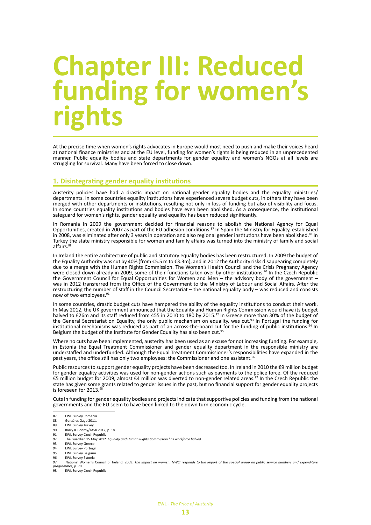### **Chapter III: Reduced funding for women's rights**

At the precise time when women's rights advocates in Europe would most need to push and make their voices heard at national finance ministries and at the EU level, funding for women's rights is being reduced in an unprecedented manner. Public equality bodies and state departments for gender equality and women's NGOs at all levels are struggling for survival. Many have been forced to close down.

#### **1. Disintegrating gender equality institutions**

Austerity policies have had a drastic impact on national gender equality bodies and the equality ministries/ departments. In some countries equality institutions have experienced severe budget cuts, in others they have been merged with other departments or institutions, resulting not only in loss of funding but also of visibility and focus. In some countries equality institutions and bodies have even been abolished. As a consequence, the institutional safeguard for women's rights, gender equality and equality has been reduced significantly.

In Romania in 2009 the government decided for financial reasons to abolish the National Agency for Equal Opportunities, created in 2007 as part of the EU adhesion conditions.<sup>87</sup> In Spain the Ministry for Equality, established in 2008, was eliminated after only 3 years in operation and also regional gender institutions have been abolished.<sup>88</sup> In Turkey the state ministry responsible for women and family affairs was turned into the ministry of family and social affairs.<sup>89</sup>

In Ireland the entire architecture of public and statutory equality bodies has been restructured. In 2009 the budget of the Equality Authority was cut by 40% (from €5.5 m to €3.3m), and in 2012 the Authority risks disappearing completely due to a merge with the Human Rights Commission. The Women's Health Council and the Crisis Pregnancy Agency were closed down already in 2009, some of their functions taken over by other institutions.<sup>90</sup> In the Czech Republic the Government Council for Equal Opportunities for Women and Men – the advisory body of the government – was in 2012 transferred from the Office of the Government to the Ministry of Labour and Social Affairs. After the restructuring the number of staff in the Council Secretariat – the national equality body – was reduced and consists now of two employees.<sup>91</sup>

In some countries, drastic budget cuts have hampered the ability of the equality institutions to conduct their work. In May 2012, the UK government announced that the Equality and Human Rights Commission would have its budget halved to £26m and its staff reduced from 455 in 2010 to 180 by 2015.<sup>92</sup> In Greece more than 30% of the budget of the General Secretariat on Equality, the only public mechanism on equality, was cut.93 In Portugal the funding for institutional mechanisms was reduced as part of an across-the-board cut for the funding of public institutions.<sup>94</sup> In Belgium the budget of the Institute for Gender Equality has also been cut.<sup>95</sup>

Where no cuts have been implemented, austerity has been used as an excuse for not increasing funding. For example, in Estonia the Equal Treatment Commissioner and gender equality department in the responsible ministry are understaffed and underfunded. Although the Equal Treatment Commissioner's responsibilities have expanded in the past years, the office still has only two employees: the Commissioner and one assistant.<sup>96</sup>

Public resources to support gender equality projects have been decreased too. In Ireland in 2010 the €9 million budget for gender equality activities was used for non-gender actions such as payments to the police force. Of the reduced €5 million budget for 2009, almost €4 million was diverted to non-gender related areas.97 In the Czech Republic the state has given some grants related to gender issues in the past, but no financial support for gender equality projects is foreseen for 2013.<sup>9</sup>

Cuts in funding for gender equality bodies and projects indicate that supportive policies and funding from the national governments and the EU seem to have been linked to the down turn economic cycle.

- 91 EWL Survey Czech Republic<br>92 The Guardian 15 May 2012
- 92 The Guardian 15 May 2012. *Equality and Human Rights Commission has workforce halved*
- 93 EWL Survey Greece<br>94 FWL Survey Portuga
- 94 EWL Survey Portugal<br>95 EWL Survey Belgium
- 95 EWL Survey Belgium 96 EWL Survey Estonia
- 97 National Women's Council of Ireland, 2009. *The impact on women: NWCI responds to the Report of the special group on public service numbers and expenditure*
- *programmes*, p. 70
- **EWL Survey Czech Republic**

<sup>87</sup> EWL Survey Romania

<sup>88</sup> Gonzáles Gago 2011.

<sup>89</sup> EWL Survey Turkey

<sup>90</sup> Barry & Conroy/TASK 2012, p. 18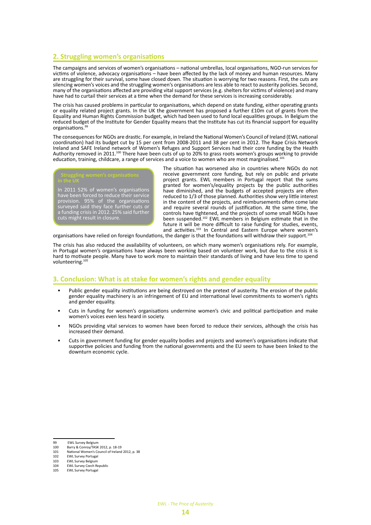### **2. Struggling women's organisations**

The campaigns and services of women's organisations – national umbrellas, local organisations, NGO-run services for victims of violence, advocacy organisations – have been affected by the lack of money and human resources. Many are struggling for their survival, some have closed down. The situation is worrying for two reasons. First, the cuts are silencing women's voices and the struggling women's organisations are less able to react to austerity policies. Second, many of the organisations affected are providing vital support services (e.g. shelters for victims of violence) and many have had to curtail their services at a time when the demand for these services is increasing considerably.

The crisis has caused problems in particular to organisations, which depend on state funding, either operating grants or equality related project grants. In the UK the government has proposed a further £10m cut of grants from the Equality and Human Rights Commission budget, which had been used to fund local equalities groups. In Belgium the reduced budget of the Institute for Gender Equality means that the Institute has cut its financial support for equality organisations.<sup>99</sup>

The consequences for NGOs are drastic. For example, in Ireland the National Women's Council of Ireland (EWL national coordination) had its budget cut by 15 per cent from 2008-2011 and 38 per cent in 2012. The Rape Crisis Network Ireland and SAFE Ireland network of Women's Refuges and Support Services had their core funding by the Health Authority removed in 2011.100 There have been cuts of up to 20% to grass roots women's groups working to provide education, training, childcare, a range of services and a voice to women who are most marginalised.<sup>101</sup>



The situation has worsened also in countries where NGOs do not receive government core funding, but rely on public and private project grants. EWL members in Portugal report that the sums granted for women's/equality projects by the public authorities have diminished, and the budgets of accepted projects are often reduced to 1/3 of those planned. Authorities show very little interest in the content of the projects, and reimbursements often come late and require several rounds of justification. At the same time, the controls have tightened, and the projects of some small NGOs have been suspended.102 EWL members in Belgium estimate that in the future it will be more difficult to raise funding for studies, events, and activities.<sup>103</sup> In Central and Eastern Europe where women's

organisations have relied on foreign foundations, the danger is that the foundations will withdraw their support.<sup>104</sup>

The crisis has also reduced the availability of volunteers, on which many women's organisations rely. For example, in Portugal women's organisations have always been working based on volunteer work, but due to the crisis it is hard to motivate people. Many have to work more to maintain their standards of living and have less time to spend volunteering.<sup>105</sup>

#### **3. Conclusion: What is at stake for women's rights and gender equality**

- Public gender equality institutions are being destroyed on the pretext of austerity. The erosion of the public gender equality machinery is an infringement of EU and international level commitments to women's rights and gender equality.
- Cuts in funding for women's organisations undermine women's civic and political participation and make women's voices even less heard in society.
- NGOs providing vital services to women have been forced to reduce their services, although the crisis has increased their demand.
- Cuts in government funding for gender equality bodies and projects and women's organisations indicate that supportive policies and funding from the national governments and the EU seem to have been linked to the downturn economic cycle.

<sup>99</sup> EWL Survey Belgium<br>100 Barry & Conroy/TASK

<sup>100</sup> Barry & Conroy/TASK 2012, p. 18-19<br>101 National Women's Council of Ireland 101 National Women's Council of Ireland 2012, p. 38<br>102 FWL Survey Portugal

<sup>102</sup> EWL Survey Portugal<br>103 EWL Survey Belgium

<sup>103</sup> EWL Survey Belgium<br>104 FWL Survey Czech Re

EWL Survey Czech Republic

<sup>105</sup> EWL Survey Portugal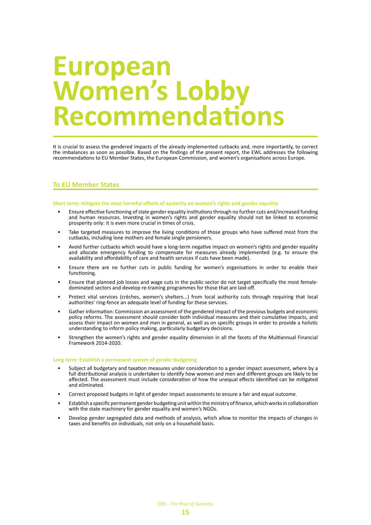### **European Women's Lobby Recommendations**

It is crucial to assess the gendered impacts of the already implemented cutbacks and, more importantly, to correct the imbalances as soon as possible. Based on the findings of the present report, the EWL addresses the following recommendations to EU Member States, the European Commission, and women's organisations across Europe.

### **To EU Member States**

#### **Short term: mitigate the most harmful effects of austerity on women's rights and gender equality**

- Ensure effective functioning of state gender equality institutions through no further cuts and/increased funding and human resources. Investing in women's rights and gender equality should not be linked to economic prosperity only: it is even more crucial in times of crisis.
- Take targeted measures to improve the living conditions of those groups who have suffered most from the cutbacks, including lone mothers and female single pensioners.
- Avoid further cutbacks which would have a long-term negative impact on women's rights and gender equality and allocate emergency funding to compensate for measures already implemented (e.g. to ensure the availability and affordability of care and health services if cuts have been made).
- Ensure there are no further cuts in public funding for women's organisations in order to enable their functioning.
- Ensure that planned job losses and wage cuts in the public sector do not target specifically the most femaledominated sectors and develop re-training programmes for those that are laid-off.
- Protect vital services (crèches, women's shelters...) from local authority cuts through requiring that local authorities' ring-fence an adequate level of funding for these services.
- Gather information: Commission an assessment of the gendered impact of the previous budgets and economic policy reforms. The assessment should consider both individual measures and their cumulative impacts, and assess their impact on women and men in general, as well as on specific groups in order to provide a holistic understanding to inform policy making, particularly budgetary decisions.
- Strengthen the women's rights and gender equality dimension in all the facets of the Multiannual Financial Framework 2014-2020.

#### **Long term: Establish a permanent system of gender budgeting**

- Subject all budgetary and taxation measures under consideration to a gender impact assessment, where by a full distributional analysis is undertaken to identify how women and men and different groups are likely to be affected. The assessment must include consideration of how the unequal effects identified can be mitigated and eliminated.
- Correct proposed budgets in light of gender impact assessments to ensure a fair and equal outcome.
- Establish a specific permanent gender budgeting unit within the ministry of finance, which works in collaboration with the state machinery for gender equality and women's NGOs.
- Develop gender segregated data and methods of analysis, which allow to monitor the impacts of changes in taxes and benefits on individuals, not only on a household basis.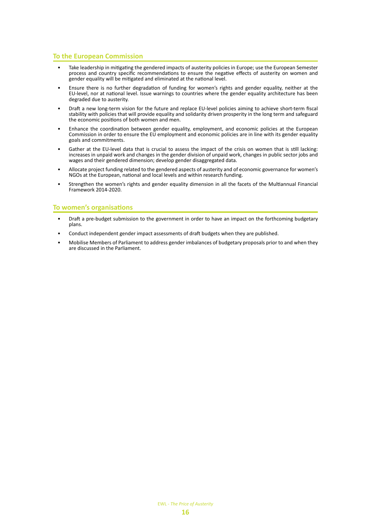### **To the European Commission**

- Take leadership in mitigating the gendered impacts of austerity policies in Europe; use the European Semester process and country specific recommendations to ensure the negative effects of austerity on women and gender equality will be mitigated and eliminated at the national level.
- Ensure there is no further degradation of funding for women's rights and gender equality, neither at the EU-level, nor at national level. Issue warnings to countries where the gender equality architecture has been degraded due to austerity.
- Draft a new long-term vision for the future and replace EU-level policies aiming to achieve short-term fiscal stability with policies that will provide equality and solidarity driven prosperity in the long term and safeguard the economic positions of both women and men.
- Enhance the coordination between gender equality, employment, and economic policies at the European Commission in order to ensure the EU employment and economic policies are in line with its gender equality goals and commitments.
- Gather at the EU-level data that is crucial to assess the impact of the crisis on women that is still lacking: increases in unpaid work and changes in the gender division of unpaid work, changes in public sector jobs and wages and their gendered dimension; develop gender disaggregated data.
- Allocate project funding related to the gendered aspects of austerity and of economic governance for women's NGOs at the European, national and local levels and within research funding.
- Strengthen the women's rights and gender equality dimension in all the facets of the Multiannual Financial Framework 2014-2020.

### **To women's organisations**

- Draft a pre-budget submission to the government in order to have an impact on the forthcoming budgetary plans.
- Conduct independent gender impact assessments of draft budgets when they are published.
- Mobilise Members of Parliament to address gender imbalances of budgetary proposals prior to and when they are discussed in the Parliament.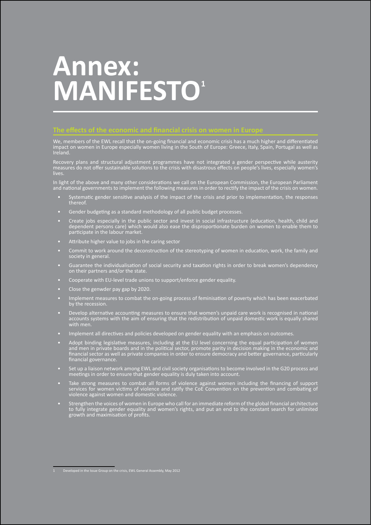# **Annex: MANIFESTO<sup>1</sup>**

We, members of the EWL recall that the on-going financial and economic crisis has a much higher and differentiated impact on women in Europe especially women living in the South of Europe: Greece, Italy, Spain, Portugal as well as Ireland.

Recovery plans and structural adjustment programmes have not integrated a gender perspective while austerity measures do not offer sustainable solutions to the crisis with disastrous effects on people's lives, especially women's lives.

In light of the above and many other considerations we call on the European Commission, the European Parliament and national governments to implement the following measures in order to rectify the impact of the crisis on women.

- Systematic gender sensitive analysis of the impact of the crisis and prior to implementation, the responses thereof.
- Gender budgeting as a standard methodology of all public budget processes.
- Create jobs especially in the public sector and invest in social infrastructure (education, health, child and dependent persons care) which would also ease the disproportionate burden on women to enable them to participate in the labour market.
- Attribute higher value to jobs in the caring sector
- Commit to work around the deconstruction of the stereotyping of women in education, work, the family and society in general.
- Guarantee the individualisation of social security and taxation rights in order to break women's dependency on their partners and/or the state.
- Cooperate with EU-level trade unions to support/enforce gender equality.
- Close the genwder pay gap by 2020.
- Implement measures to combat the on-going process of feminisation of poverty which has been exacerbated by the recession.
- Develop alternative accounting measures to ensure that women's unpaid care work is recognised in national accounts systems with the aim of ensuring that the redistribution of unpaid domestic work is equally shared with men.
- Implement all directives and policies developed on gender equality with an emphasis on outcomes.
- Adopt binding legislative measures, including at the EU level concerning the equal participation of women and men in private boards and in the political sector, promote parity in decision making in the economic and financial sector as well as private companies in order to ensure democracy and better governance, particularly financial governance.
- Set up a liaison network among EWL and civil society organisations to become involved in the G20 process and meetings in order to ensure that gender equality is duly taken into account.
- Take strong measures to combat all forms of violence against women including the financing of support services for women victims of violence and ratify the CoE Convention on the prevention and combating of violence against women and domestic violence.
- Strengthen the voices of women in Europe who call for an immediate reform of the global financial architecture to fully integrate gender equality and women's rights, and put an end to the constant search for unlimited growth and maximisation of profits.